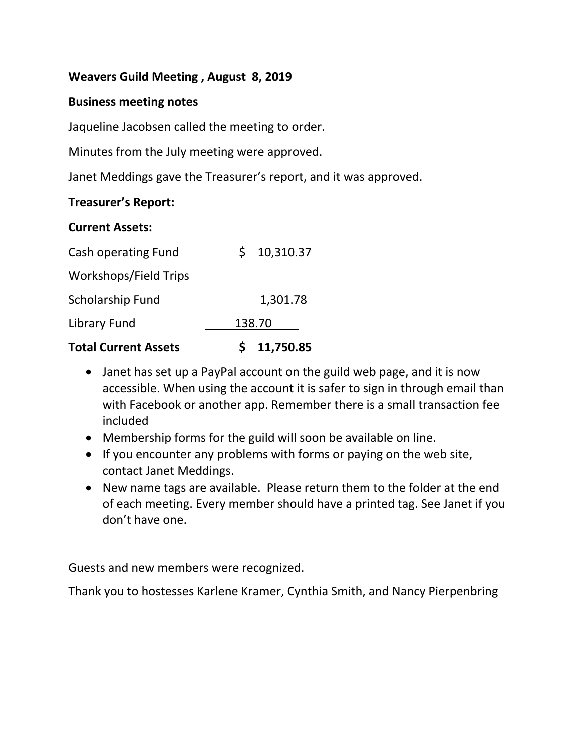### **Weavers Guild Meeting , August 8, 2019**

#### **Business meeting notes**

Jaqueline Jacobsen called the meeting to order.

Minutes from the July meeting were approved.

Janet Meddings gave the Treasurer's report, and it was approved.

### **Treasurer's Report:**

#### **Current Assets:**

| <b>Total Current Assets</b> | 11,750.85       |
|-----------------------------|-----------------|
| Library Fund                | 138.70          |
| Scholarship Fund            | 1,301.78        |
| Workshops/Field Trips       |                 |
| Cash operating Fund         | 10,310.37<br>S. |

- Janet has set up a PayPal account on the guild web page, and it is now accessible. When using the account it is safer to sign in through email than with Facebook or another app. Remember there is a small transaction fee included
- Membership forms for the guild will soon be available on line.
- If you encounter any problems with forms or paying on the web site, contact Janet Meddings.
- New name tags are available. Please return them to the folder at the end of each meeting. Every member should have a printed tag. See Janet if you don't have one.

Guests and new members were recognized.

Thank you to hostesses Karlene Kramer, Cynthia Smith, and Nancy Pierpenbring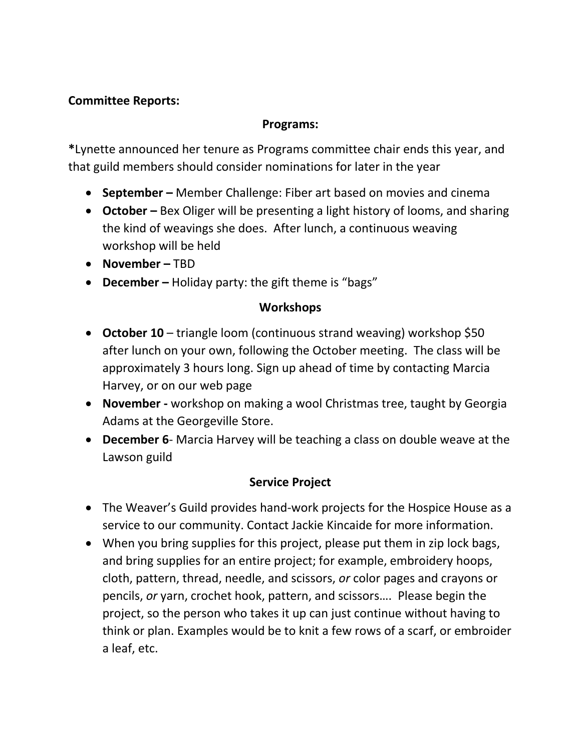## **Committee Reports:**

### **Programs:**

**\***Lynette announced her tenure as Programs committee chair ends this year, and that guild members should consider nominations for later in the year

- **September –** Member Challenge: Fiber art based on movies and cinema
- **October –** Bex Oliger will be presenting a light history of looms, and sharing the kind of weavings she does. After lunch, a continuous weaving workshop will be held
- **November –** TBD
- **December –** Holiday party: the gift theme is "bags"

## **Workshops**

- **October 10** triangle loom (continuous strand weaving) workshop \$50 after lunch on your own, following the October meeting. The class will be approximately 3 hours long. Sign up ahead of time by contacting Marcia Harvey, or on our web page
- **November -** workshop on making a wool Christmas tree, taught by Georgia Adams at the Georgeville Store.
- **December 6** Marcia Harvey will be teaching a class on double weave at the Lawson guild

## **Service Project**

- The Weaver's Guild provides hand-work projects for the Hospice House as a service to our community. Contact Jackie Kincaide for more information.
- When you bring supplies for this project, please put them in zip lock bags, and bring supplies for an entire project; for example, embroidery hoops, cloth, pattern, thread, needle, and scissors, *or* color pages and crayons or pencils, *or* yarn, crochet hook, pattern, and scissors…. Please begin the project, so the person who takes it up can just continue without having to think or plan. Examples would be to knit a few rows of a scarf, or embroider a leaf, etc.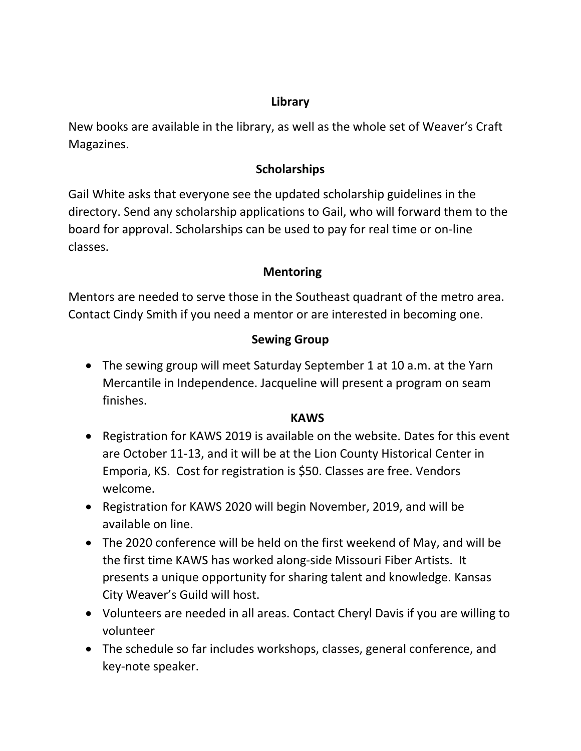## **Library**

New books are available in the library, as well as the whole set of Weaver's Craft Magazines.

## **Scholarships**

Gail White asks that everyone see the updated scholarship guidelines in the directory. Send any scholarship applications to Gail, who will forward them to the board for approval. Scholarships can be used to pay for real time or on-line classes.

# **Mentoring**

Mentors are needed to serve those in the Southeast quadrant of the metro area. Contact Cindy Smith if you need a mentor or are interested in becoming one.

# **Sewing Group**

 The sewing group will meet Saturday September 1 at 10 a.m. at the Yarn Mercantile in Independence. Jacqueline will present a program on seam finishes.

### **KAWS**

- Registration for KAWS 2019 is available on the website. Dates for this event are October 11-13, and it will be at the Lion County Historical Center in Emporia, KS. Cost for registration is \$50. Classes are free. Vendors welcome.
- Registration for KAWS 2020 will begin November, 2019, and will be available on line.
- The 2020 conference will be held on the first weekend of May, and will be the first time KAWS has worked along-side Missouri Fiber Artists. It presents a unique opportunity for sharing talent and knowledge. Kansas City Weaver's Guild will host.
- Volunteers are needed in all areas. Contact Cheryl Davis if you are willing to volunteer
- The schedule so far includes workshops, classes, general conference, and key-note speaker.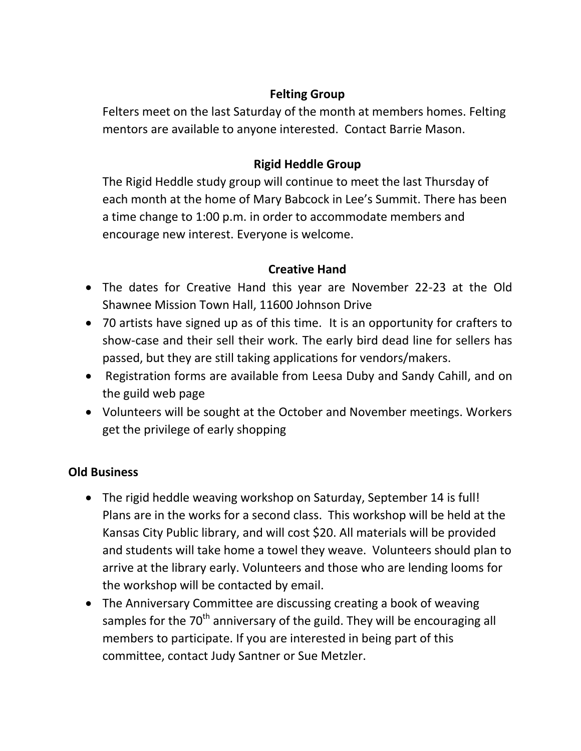## **Felting Group**

Felters meet on the last Saturday of the month at members homes. Felting mentors are available to anyone interested. Contact Barrie Mason.

# **Rigid Heddle Group**

The Rigid Heddle study group will continue to meet the last Thursday of each month at the home of Mary Babcock in Lee's Summit. There has been a time change to 1:00 p.m. in order to accommodate members and encourage new interest. Everyone is welcome.

## **Creative Hand**

- The dates for Creative Hand this year are November 22-23 at the Old Shawnee Mission Town Hall, 11600 Johnson Drive
- 70 artists have signed up as of this time. It is an opportunity for crafters to show-case and their sell their work. The early bird dead line for sellers has passed, but they are still taking applications for vendors/makers.
- Registration forms are available from Leesa Duby and Sandy Cahill, and on the guild web page
- Volunteers will be sought at the October and November meetings. Workers get the privilege of early shopping

## **Old Business**

- The rigid heddle weaving workshop on Saturday, September 14 is full! Plans are in the works for a second class. This workshop will be held at the Kansas City Public library, and will cost \$20. All materials will be provided and students will take home a towel they weave. Volunteers should plan to arrive at the library early. Volunteers and those who are lending looms for the workshop will be contacted by email.
- The Anniversary Committee are discussing creating a book of weaving samples for the 70<sup>th</sup> anniversary of the guild. They will be encouraging all members to participate. If you are interested in being part of this committee, contact Judy Santner or Sue Metzler.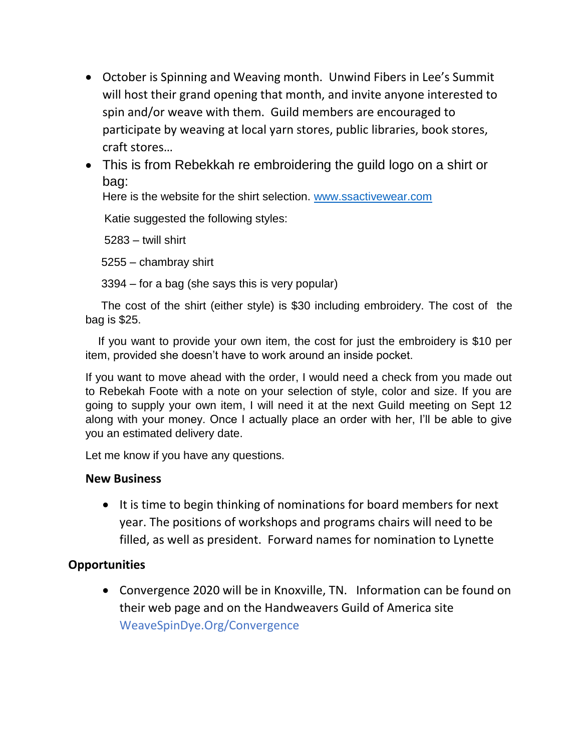- October is Spinning and Weaving month. Unwind Fibers in Lee's Summit will host their grand opening that month, and invite anyone interested to spin and/or weave with them. Guild members are encouraged to participate by weaving at local yarn stores, public libraries, book stores, craft stores…
- This is from Rebekkah re embroidering the guild logo on a shirt or bag:

Here is the website for the shirt selection. [www.ssactivewear.com](http://www.ssactivewear.com/)

Katie suggested the following styles:

5283 – twill shirt

5255 – chambray shirt

3394 – for a bag (she says this is very popular)

 The cost of the shirt (either style) is \$30 including embroidery. The cost of the bag is \$25.

 If you want to provide your own item, the cost for just the embroidery is \$10 per item, provided she doesn't have to work around an inside pocket.

If you want to move ahead with the order, I would need a check from you made out to Rebekah Foote with a note on your selection of style, color and size. If you are going to supply your own item, I will need it at the next Guild meeting on Sept 12 along with your money. Once I actually place an order with her, I'll be able to give you an estimated delivery date.

Let me know if you have any questions.

#### **New Business**

• It is time to begin thinking of nominations for board members for next year. The positions of workshops and programs chairs will need to be filled, as well as president. Forward names for nomination to Lynette

### **Opportunities**

 Convergence 2020 will be in Knoxville, TN. Information can be found on their web page and on the Handweavers Guild of America site WeaveSpinDye.Org/Convergence